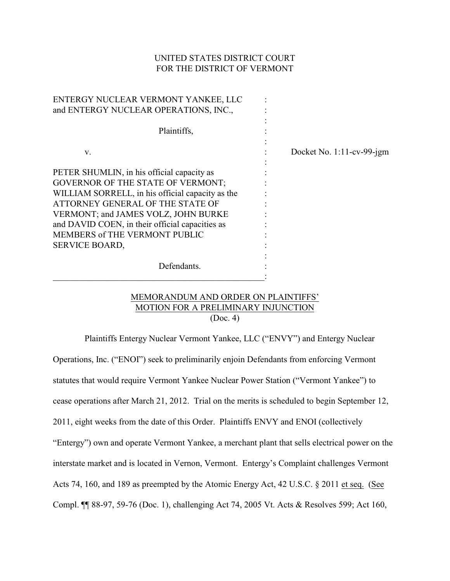# UNITED STATES DISTRICT COURT FOR THE DISTRICT OF VERMONT

| ENTERGY NUCLEAR VERMONT YANKEE, LLC<br>and ENTERGY NUCLEAR OPERATIONS, INC.,                                                                                                                                                                                                                                                       |                              |
|------------------------------------------------------------------------------------------------------------------------------------------------------------------------------------------------------------------------------------------------------------------------------------------------------------------------------------|------------------------------|
| Plaintiffs,                                                                                                                                                                                                                                                                                                                        |                              |
| V.                                                                                                                                                                                                                                                                                                                                 | Docket No. $1:11$ -cv-99-jgm |
| PETER SHUMLIN, in his official capacity as<br><b>GOVERNOR OF THE STATE OF VERMONT;</b><br>WILLIAM SORRELL, in his official capacity as the<br>ATTORNEY GENERAL OF THE STATE OF<br>VERMONT; and JAMES VOLZ, JOHN BURKE<br>and DAVID COEN, in their official capacities as<br><b>MEMBERS of THE VERMONT PUBLIC</b><br>SERVICE BOARD, |                              |
| Defendants.                                                                                                                                                                                                                                                                                                                        |                              |

# MEMORANDUM AND ORDER ON PLAINTIFFS' MOTION FOR A PRELIMINARY INJUNCTION (Doc. 4)

Plaintiffs Entergy Nuclear Vermont Yankee, LLC ("ENVY") and Entergy Nuclear Operations, Inc. ("ENOI") seek to preliminarily enjoin Defendants from enforcing Vermont statutes that would require Vermont Yankee Nuclear Power Station ("Vermont Yankee") to cease operations after March 21, 2012. Trial on the merits is scheduled to begin September 12, 2011, eight weeks from the date of this Order. Plaintiffs ENVY and ENOI (collectively "Entergy") own and operate Vermont Yankee, a merchant plant that sells electrical power on the interstate market and is located in Vernon, Vermont. Entergy's Complaint challenges Vermont Acts 74, 160, and 189 as preempted by the Atomic Energy Act, 42 U.S.C. § 2011 et seq. (See Compl. ¶¶ 88-97, 59-76 (Doc. 1), challenging Act 74, 2005 Vt. Acts & Resolves 599; Act 160,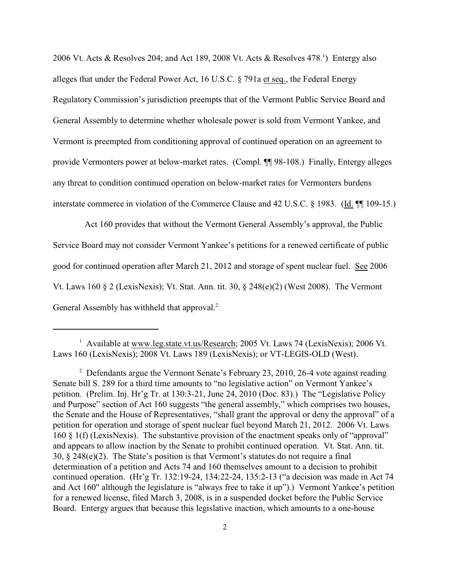2006 Vt. Acts & Resolves 204; and Act 189, 2008 Vt. Acts & Resolves 478.<sup>1</sup>) Entergy also alleges that under the Federal Power Act, 16 U.S.C. § 791a et seq., the Federal Energy Regulatory Commission's jurisdiction preempts that of the Vermont Public Service Board and General Assembly to determine whether wholesale power is sold from Vermont Yankee, and Vermont is preempted from conditioning approval of continued operation on an agreement to provide Vermonters power at below-market rates. (Compl. ¶¶ 98-108.) Finally, Entergy alleges any threat to condition continued operation on below-market rates for Vermonters burdens interstate commerce in violation of the Commerce Clause and 42 U.S.C. § 1983. (Id. ¶¶ 109-15.)

Act 160 provides that without the Vermont General Assembly's approval, the Public Service Board may not consider Vermont Yankee's petitions for a renewed certificate of public good for continued operation after March 21, 2012 and storage of spent nuclear fuel. See 2006 Vt. Laws 160 § 2 (LexisNexis); Vt. Stat. Ann. tit. 30, § 248(e)(2) (West 2008). The Vermont General Assembly has withheld that approval.<sup>2</sup>

<sup>&</sup>lt;sup>1</sup> Available at [www.leg.state.vt.us/Research;](http://www.leg.state.ct.us/Research;) 2005 Vt. Laws 74 (LexisNexis); 2006 Vt. Laws 160 (LexisNexis); 2008 Vt. Laws 189 (LexisNexis); or VT-LEGIS-OLD (West).

<sup>&</sup>lt;sup>2</sup> Defendants argue the Vermont Senate's February 23, 2010, 26-4 vote against reading Senate bill S. 289 for a third time amounts to "no legislative action" on Vermont Yankee's petition. (Prelim. Inj. Hr'g Tr. at 130:3-21, June 24, 2010 (Doc. 83).) The "Legislative Policy and Purpose" section of Act 160 suggests "the general assembly," which comprises two houses, the Senate and the House of Representatives, "shall grant the approval or deny the approval" of a petition for operation and storage of spent nuclear fuel beyond March 21, 2012. 2006 Vt. Laws 160 § 1(f) (LexisNexis). The substantive provision of the enactment speaks only of "approval" and appears to allow inaction by the Senate to prohibit continued operation. Vt. Stat. Ann. tit. 30, § 248(e)(2). The State's position is that Vermont's statutes do not require a final determination of a petition and Acts 74 and 160 themselves amount to a decision to prohibit continued operation. (Hr'g Tr. 132:19-24, 134:22-24, 135:2-13 ("a decision was made in Act 74 and Act 160" although the legislature is "always free to take it up").) Vermont Yankee's petition for a renewed license, filed March 3, 2008, is in a suspended docket before the Public Service Board. Entergy argues that because this legislative inaction, which amounts to a one-house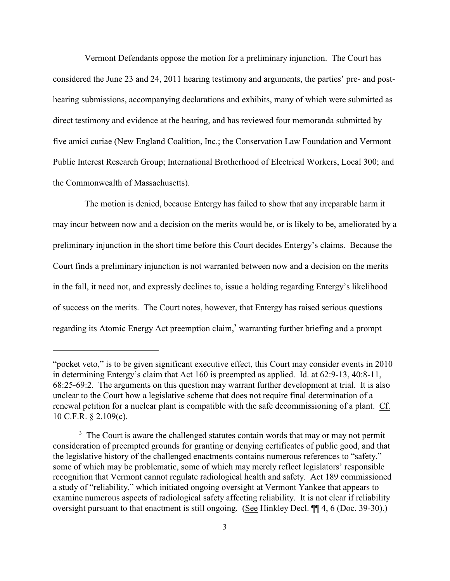Vermont Defendants oppose the motion for a preliminary injunction. The Court has considered the June 23 and 24, 2011 hearing testimony and arguments, the parties' pre- and posthearing submissions, accompanying declarations and exhibits, many of which were submitted as direct testimony and evidence at the hearing, and has reviewed four memoranda submitted by five amici curiae (New England Coalition, Inc.; the Conservation Law Foundation and Vermont Public Interest Research Group; International Brotherhood of Electrical Workers, Local 300; and the Commonwealth of Massachusetts).

The motion is denied, because Entergy has failed to show that any irreparable harm it may incur between now and a decision on the merits would be, or is likely to be, ameliorated by a preliminary injunction in the short time before this Court decides Entergy's claims. Because the Court finds a preliminary injunction is not warranted between now and a decision on the merits in the fall, it need not, and expressly declines to, issue a holding regarding Entergy's likelihood of success on the merits. The Court notes, however, that Entergy has raised serious questions regarding its Atomic Energy Act preemption claim,<sup>3</sup> warranting further briefing and a prompt

<sup>&</sup>quot;pocket veto," is to be given significant executive effect, this Court may consider events in 2010 in determining Entergy's claim that Act 160 is preempted as applied. Id. at 62:9-13, 40:8-11, 68:25-69:2. The arguments on this question may warrant further development at trial. It is also unclear to the Court how a legislative scheme that does not require final determination of a renewal petition for a nuclear plant is compatible with the safe decommissioning of a plant. Cf. 10 C.F.R. § 2.109(c).

 $3\text{ The Court is aware the challenged statutes contain words that may or may not permit.}$ consideration of preempted grounds for granting or denying certificates of public good, and that the legislative history of the challenged enactments contains numerous references to "safety," some of which may be problematic, some of which may merely reflect legislators' responsible recognition that Vermont cannot regulate radiological health and safety. Act 189 commissioned a study of "reliability," which initiated ongoing oversight at Vermont Yankee that appears to examine numerous aspects of radiological safety affecting reliability. It is not clear if reliability oversight pursuant to that enactment is still ongoing. (See Hinkley Decl. ¶¶ 4, 6 (Doc. 39-30).)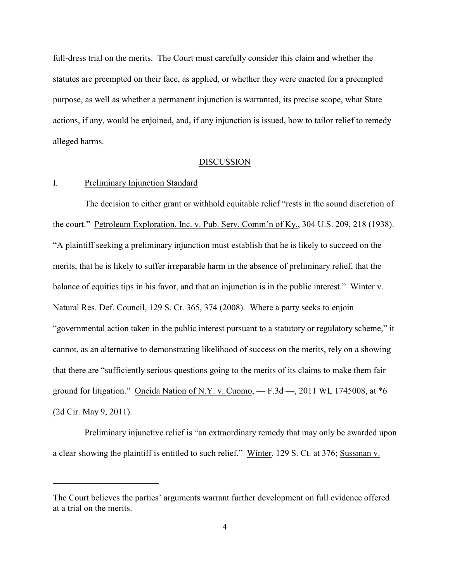full-dress trial on the merits. The Court must carefully consider this claim and whether the statutes are preempted on their face, as applied, or whether they were enacted for a preempted purpose, as well as whether a permanent injunction is warranted, its precise scope, what State actions, if any, would be enjoined, and, if any injunction is issued, how to tailor relief to remedy alleged harms.

#### DISCUSSION

## I. Preliminary Injunction Standard

The decision to either grant or withhold equitable relief "rests in the sound discretion of the court." Petroleum Exploration, Inc. v. Pub. Serv. Comm'n of Ky., 304 U.S. 209, 218 (1938). "A plaintiff seeking a preliminary injunction must establish that he is likely to succeed on the merits, that he is likely to suffer irreparable harm in the absence of preliminary relief, that the balance of equities tips in his favor, and that an injunction is in the public interest." Winter v. Natural Res. Def. Council, 129 S. Ct. 365, 374 (2008). Where a party seeks to enjoin "governmental action taken in the public interest pursuant to a statutory or regulatory scheme," it cannot, as an alternative to demonstrating likelihood of success on the merits, rely on a showing that there are "sufficiently serious questions going to the merits of its claims to make them fair ground for litigation." Oneida Nation of N.Y. v. Cuomo,  $- F.3d - 2011$  WL 1745008, at  $*6$ (2d Cir. May 9, 2011).

Preliminary injunctive relief is "an extraordinary remedy that may only be awarded upon a clear showing the plaintiff is entitled to such relief." Winter, 129 S. Ct. at 376; Sussman v.

The Court believes the parties' arguments warrant further development on full evidence offered at a trial on the merits.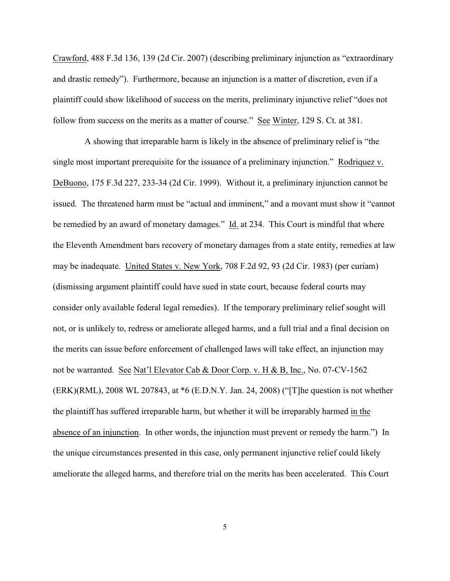Crawford, 488 F.3d 136, 139 (2d Cir. 2007) (describing preliminary injunction as "extraordinary and drastic remedy"). Furthermore, because an injunction is a matter of discretion, even if a plaintiff could show likelihood of success on the merits, preliminary injunctive relief "does not follow from success on the merits as a matter of course." See Winter, 129 S. Ct. at 381.

A showing that irreparable harm is likely in the absence of preliminary relief is "the single most important prerequisite for the issuance of a preliminary injunction." Rodriquez v. DeBuono, 175 F.3d 227, 233-34 (2d Cir. 1999). Without it, a preliminary injunction cannot be issued. The threatened harm must be "actual and imminent," and a movant must show it "cannot be remedied by an award of monetary damages." Id. at 234. This Court is mindful that where the Eleventh Amendment bars recovery of monetary damages from a state entity, remedies at law may be inadequate. United States v. New York, 708 F.2d 92, 93 (2d Cir. 1983) (per curiam) (dismissing argument plaintiff could have sued in state court, because federal courts may consider only available federal legal remedies). If the temporary preliminary relief sought will not, or is unlikely to, redress or ameliorate alleged harms, and a full trial and a final decision on the merits can issue before enforcement of challenged laws will take effect, an injunction may not be warranted. See Nat'l Elevator Cab & Door Corp. v. H & B, Inc., No. 07-CV-1562 (ERK)(RML), 2008 WL 207843, at \*6 (E.D.N.Y. Jan. 24, 2008) ("[T]he question is not whether the plaintiff has suffered irreparable harm, but whether it will be irreparably harmed in the absence of an injunction. In other words, the injunction must prevent or remedy the harm.") In the unique circumstances presented in this case, only permanent injunctive relief could likely ameliorate the alleged harms, and therefore trial on the merits has been accelerated. This Court

5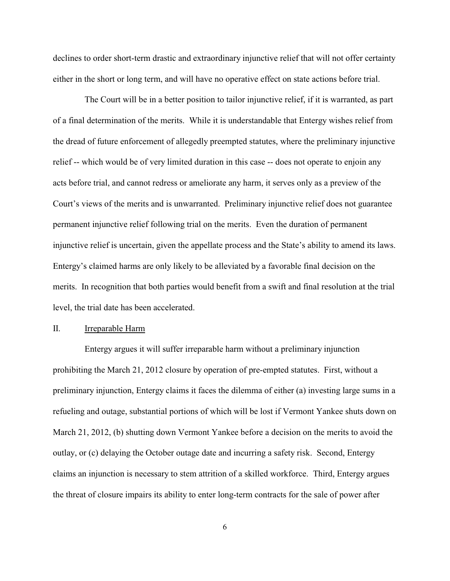declines to order short-term drastic and extraordinary injunctive relief that will not offer certainty either in the short or long term, and will have no operative effect on state actions before trial.

The Court will be in a better position to tailor injunctive relief, if it is warranted, as part of a final determination of the merits. While it is understandable that Entergy wishes relief from the dread of future enforcement of allegedly preempted statutes, where the preliminary injunctive relief -- which would be of very limited duration in this case -- does not operate to enjoin any acts before trial, and cannot redress or ameliorate any harm, it serves only as a preview of the Court's views of the merits and is unwarranted. Preliminary injunctive relief does not guarantee permanent injunctive relief following trial on the merits. Even the duration of permanent injunctive relief is uncertain, given the appellate process and the State's ability to amend its laws. Entergy's claimed harms are only likely to be alleviated by a favorable final decision on the merits. In recognition that both parties would benefit from a swift and final resolution at the trial level, the trial date has been accelerated.

#### II. Irreparable Harm

Entergy argues it will suffer irreparable harm without a preliminary injunction prohibiting the March 21, 2012 closure by operation of pre-empted statutes. First, without a preliminary injunction, Entergy claims it faces the dilemma of either (a) investing large sums in a refueling and outage, substantial portions of which will be lost if Vermont Yankee shuts down on March 21, 2012, (b) shutting down Vermont Yankee before a decision on the merits to avoid the outlay, or (c) delaying the October outage date and incurring a safety risk. Second, Entergy claims an injunction is necessary to stem attrition of a skilled workforce. Third, Entergy argues the threat of closure impairs its ability to enter long-term contracts for the sale of power after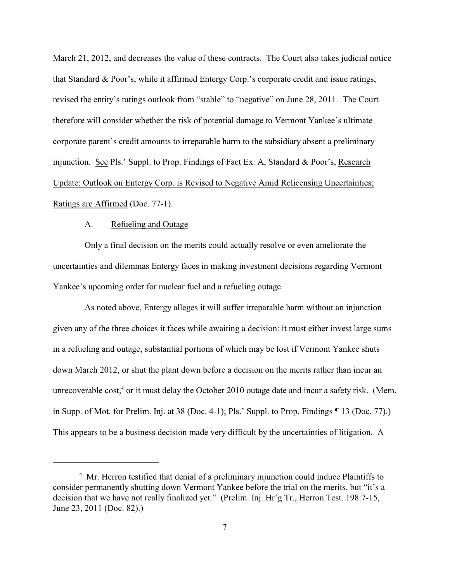March 21, 2012, and decreases the value of these contracts. The Court also takes judicial notice that Standard & Poor's, while it affirmed Entergy Corp.'s corporate credit and issue ratings, revised the entity's ratings outlook from "stable" to "negative" on June 28, 2011. The Court therefore will consider whether the risk of potential damage to Vermont Yankee's ultimate corporate parent's credit amounts to irreparable harm to the subsidiary absent a preliminary injunction. See Pls.' Suppl. to Prop. Findings of Fact Ex. A, Standard & Poor's, Research Update: Outlook on Entergy Corp. is Revised to Negative Amid Relicensing Uncertainties; Ratings are Affirmed (Doc. 77-1).

### A. Refueling and Outage

Only a final decision on the merits could actually resolve or even ameliorate the uncertainties and dilemmas Entergy faces in making investment decisions regarding Vermont Yankee's upcoming order for nuclear fuel and a refueling outage.

As noted above, Entergy alleges it will suffer irreparable harm without an injunction given any of the three choices it faces while awaiting a decision: it must either invest large sums in a refueling and outage, substantial portions of which may be lost if Vermont Yankee shuts down March 2012, or shut the plant down before a decision on the merits rather than incur an unrecoverable cost, $4$  or it must delay the October 2010 outage date and incur a safety risk. (Mem. in Supp. of Mot. for Prelim. Inj. at 38 (Doc. 4-1); Pls.' Suppl. to Prop. Findings ¶ 13 (Doc. 77).) This appears to be a business decision made very difficult by the uncertainties of litigation. A

<sup>&</sup>lt;sup>4</sup> Mr. Herron testified that denial of a preliminary injunction could induce Plaintiffs to consider permanently shutting down Vermont Yankee before the trial on the merits, but "it's a decision that we have not really finalized yet." (Prelim. Inj. Hr'g Tr., Herron Test. 198:7-15, June 23, 2011 (Doc. 82).)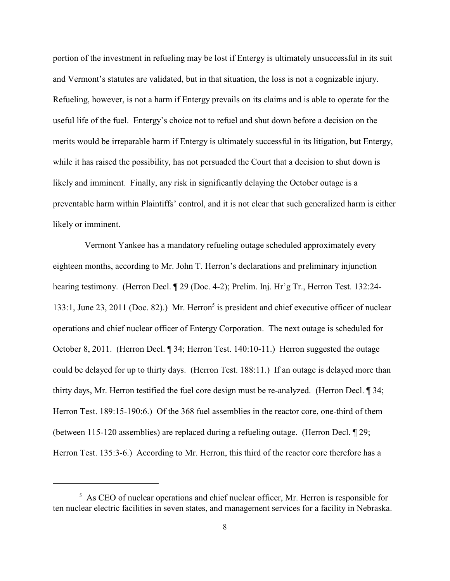portion of the investment in refueling may be lost if Entergy is ultimately unsuccessful in its suit and Vermont's statutes are validated, but in that situation, the loss is not a cognizable injury. Refueling, however, is not a harm if Entergy prevails on its claims and is able to operate for the useful life of the fuel. Entergy's choice not to refuel and shut down before a decision on the merits would be irreparable harm if Entergy is ultimately successful in its litigation, but Entergy, while it has raised the possibility, has not persuaded the Court that a decision to shut down is likely and imminent. Finally, any risk in significantly delaying the October outage is a preventable harm within Plaintiffs' control, and it is not clear that such generalized harm is either likely or imminent.

Vermont Yankee has a mandatory refueling outage scheduled approximately every eighteen months, according to Mr. John T. Herron's declarations and preliminary injunction hearing testimony. (Herron Decl. ¶ 29 (Doc. 4-2); Prelim. Inj. Hr'g Tr., Herron Test. 132:24- 133:1, June 23, 2011 (Doc. 82).) Mr. Herron<sup>5</sup> is president and chief executive officer of nuclear operations and chief nuclear officer of Entergy Corporation. The next outage is scheduled for October 8, 2011. (Herron Decl. ¶ 34; Herron Test. 140:10-11.) Herron suggested the outage could be delayed for up to thirty days. (Herron Test. 188:11.) If an outage is delayed more than thirty days, Mr. Herron testified the fuel core design must be re-analyzed. (Herron Decl. ¶ 34; Herron Test. 189:15-190:6.) Of the 368 fuel assemblies in the reactor core, one-third of them (between 115-120 assemblies) are replaced during a refueling outage. (Herron Decl. ¶ 29; Herron Test. 135:3-6.) According to Mr. Herron, this third of the reactor core therefore has a

 $<sup>5</sup>$  As CEO of nuclear operations and chief nuclear officer, Mr. Herron is responsible for</sup> ten nuclear electric facilities in seven states, and management services for a facility in Nebraska.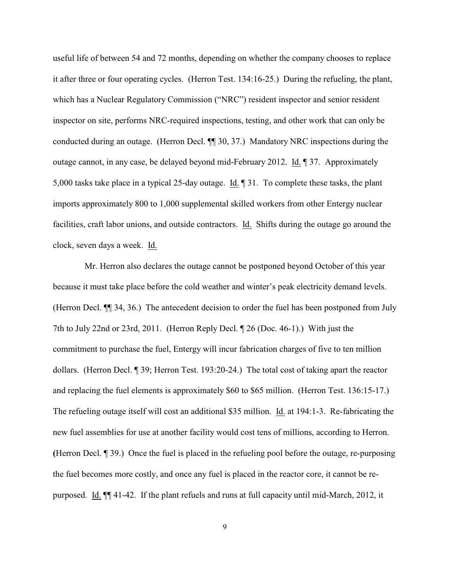useful life of between 54 and 72 months, depending on whether the company chooses to replace it after three or four operating cycles. (Herron Test. 134:16-25.) During the refueling, the plant, which has a Nuclear Regulatory Commission ("NRC") resident inspector and senior resident inspector on site, performs NRC-required inspections, testing, and other work that can only be conducted during an outage. (Herron Decl. ¶¶ 30, 37.) Mandatory NRC inspections during the outage cannot, in any case, be delayed beyond mid-February 2012. Id. ¶ 37. Approximately 5,000 tasks take place in a typical 25-day outage. Id. ¶ 31. To complete these tasks, the plant imports approximately 800 to 1,000 supplemental skilled workers from other Entergy nuclear facilities, craft labor unions, and outside contractors. Id. Shifts during the outage go around the clock, seven days a week. Id.

Mr. Herron also declares the outage cannot be postponed beyond October of this year because it must take place before the cold weather and winter's peak electricity demand levels. (Herron Decl. ¶¶ 34, 36.) The antecedent decision to order the fuel has been postponed from July 7th to July 22nd or 23rd, 2011. (Herron Reply Decl. ¶ 26 (Doc. 46-1).) With just the commitment to purchase the fuel, Entergy will incur fabrication charges of five to ten million dollars. (Herron Decl. ¶ 39; Herron Test. 193:20-24.) The total cost of taking apart the reactor and replacing the fuel elements is approximately \$60 to \$65 million. (Herron Test. 136:15-17.) The refueling outage itself will cost an additional \$35 million. Id. at 194:1-3. Re-fabricating the new fuel assemblies for use at another facility would cost tens of millions, according to Herron. **(**Herron Decl. ¶ 39.) Once the fuel is placed in the refueling pool before the outage, re-purposing the fuel becomes more costly, and once any fuel is placed in the reactor core, it cannot be repurposed. Id. ¶¶ 41-42. If the plant refuels and runs at full capacity until mid-March, 2012, it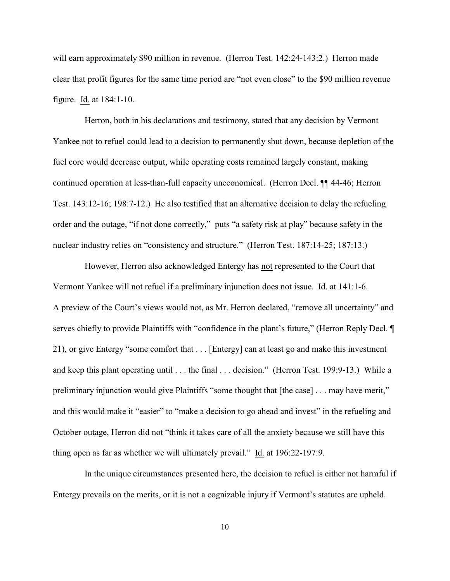will earn approximately \$90 million in revenue. (Herron Test. 142:24-143:2.) Herron made clear that profit figures for the same time period are "not even close" to the \$90 million revenue figure. Id. at 184:1-10.

Herron, both in his declarations and testimony, stated that any decision by Vermont Yankee not to refuel could lead to a decision to permanently shut down, because depletion of the fuel core would decrease output, while operating costs remained largely constant, making continued operation at less-than-full capacity uneconomical. (Herron Decl. ¶¶ 44-46; Herron Test. 143:12-16; 198:7-12.) He also testified that an alternative decision to delay the refueling order and the outage, "if not done correctly," puts "a safety risk at play" because safety in the nuclear industry relies on "consistency and structure." (Herron Test. 187:14-25; 187:13.)

However, Herron also acknowledged Entergy has not represented to the Court that Vermont Yankee will not refuel if a preliminary injunction does not issue. Id. at 141:1-6. A preview of the Court's views would not, as Mr. Herron declared, "remove all uncertainty" and serves chiefly to provide Plaintiffs with "confidence in the plant's future," (Herron Reply Decl. ¶ 21), or give Entergy "some comfort that . . . [Entergy] can at least go and make this investment and keep this plant operating until . . . the final . . . decision." (Herron Test. 199:9-13.) While a preliminary injunction would give Plaintiffs "some thought that [the case] . . . may have merit," and this would make it "easier" to "make a decision to go ahead and invest" in the refueling and October outage, Herron did not "think it takes care of all the anxiety because we still have this thing open as far as whether we will ultimately prevail." Id. at 196:22-197:9.

In the unique circumstances presented here, the decision to refuel is either not harmful if Entergy prevails on the merits, or it is not a cognizable injury if Vermont's statutes are upheld.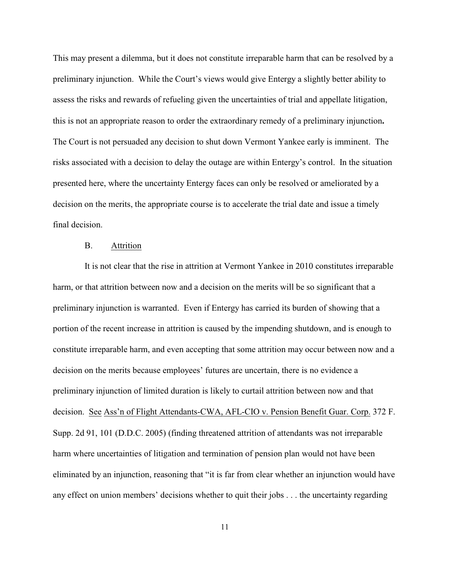This may present a dilemma, but it does not constitute irreparable harm that can be resolved by a preliminary injunction. While the Court's views would give Entergy a slightly better ability to assess the risks and rewards of refueling given the uncertainties of trial and appellate litigation, this is not an appropriate reason to order the extraordinary remedy of a preliminary injunction**.**  The Court is not persuaded any decision to shut down Vermont Yankee early is imminent. The risks associated with a decision to delay the outage are within Entergy's control. In the situation presented here, where the uncertainty Entergy faces can only be resolved or ameliorated by a decision on the merits, the appropriate course is to accelerate the trial date and issue a timely final decision.

## B. Attrition

It is not clear that the rise in attrition at Vermont Yankee in 2010 constitutes irreparable harm, or that attrition between now and a decision on the merits will be so significant that a preliminary injunction is warranted. Even if Entergy has carried its burden of showing that a portion of the recent increase in attrition is caused by the impending shutdown, and is enough to constitute irreparable harm, and even accepting that some attrition may occur between now and a decision on the merits because employees' futures are uncertain, there is no evidence a preliminary injunction of limited duration is likely to curtail attrition between now and that decision.See Ass'n of Flight Attendants-CWA, AFL-CIO v. Pension Benefit Guar. Corp. 372 F. Supp. 2d 91, 101 (D.D.C. 2005) (finding threatened attrition of attendants was not irreparable harm where uncertainties of litigation and termination of pension plan would not have been eliminated by an injunction, reasoning that "it is far from clear whether an injunction would have any effect on union members' decisions whether to quit their jobs . . . the uncertainty regarding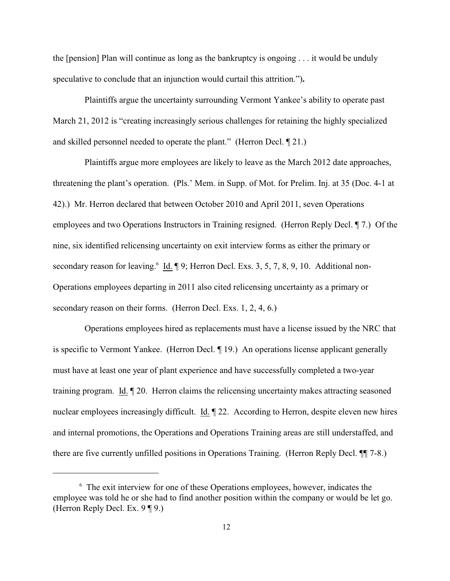the [pension] Plan will continue as long as the bankruptcy is ongoing . . . it would be unduly speculative to conclude that an injunction would curtail this attrition.")**.**

Plaintiffs argue the uncertainty surrounding Vermont Yankee's ability to operate past March 21, 2012 is "creating increasingly serious challenges for retaining the highly specialized and skilled personnel needed to operate the plant." (Herron Decl. ¶ 21.)

Plaintiffs argue more employees are likely to leave as the March 2012 date approaches, threatening the plant's operation. (Pls.' Mem. in Supp. of Mot. for Prelim. Inj. at 35 (Doc. 4-1 at 42).) Mr. Herron declared that between October 2010 and April 2011, seven Operations employees and two Operations Instructors in Training resigned. (Herron Reply Decl. ¶ 7.) Of the nine, six identified relicensing uncertainty on exit interview forms as either the primary or secondary reason for leaving. Id.  $\P$  9; Herron Decl. Exs. 3, 5, 7, 8, 9, 10. Additional non-Operations employees departing in 2011 also cited relicensing uncertainty as a primary or secondary reason on their forms. (Herron Decl. Exs. 1, 2, 4, 6.)

Operations employees hired as replacements must have a license issued by the NRC that is specific to Vermont Yankee. (Herron Decl. ¶ 19.) An operations license applicant generally must have at least one year of plant experience and have successfully completed a two-year training program. Id. ¶ 20. Herron claims the relicensing uncertainty makes attracting seasoned nuclear employees increasingly difficult. Id. ¶ 22. According to Herron, despite eleven new hires and internal promotions, the Operations and Operations Training areas are still understaffed, and there are five currently unfilled positions in Operations Training. (Herron Reply Decl. ¶¶ 7-8.)

 $<sup>6</sup>$  The exit interview for one of these Operations employees, however, indicates the</sup> employee was told he or she had to find another position within the company or would be let go. (Herron Reply Decl. Ex. 9 ¶ 9.)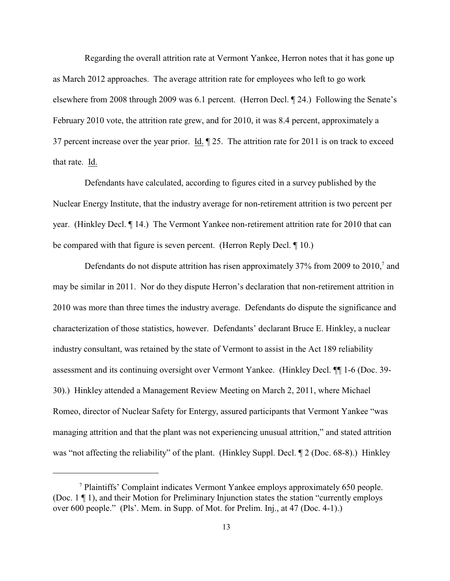Regarding the overall attrition rate at Vermont Yankee, Herron notes that it has gone up as March 2012 approaches. The average attrition rate for employees who left to go work elsewhere from 2008 through 2009 was 6.1 percent. (Herron Decl. ¶ 24.) Following the Senate's February 2010 vote, the attrition rate grew, and for 2010, it was 8.4 percent, approximately a 37 percent increase over the year prior. Id. ¶ 25. The attrition rate for 2011 is on track to exceed that rate. Id.

Defendants have calculated, according to figures cited in a survey published by the Nuclear Energy Institute, that the industry average for non-retirement attrition is two percent per year. (Hinkley Decl. ¶ 14.) The Vermont Yankee non-retirement attrition rate for 2010 that can be compared with that figure is seven percent. (Herron Reply Decl. ¶ 10.)

Defendants do not dispute attrition has risen approximately  $37\%$  from 2009 to  $2010<sup>7</sup>$  and may be similar in 2011. Nor do they dispute Herron's declaration that non-retirement attrition in 2010 was more than three times the industry average. Defendants do dispute the significance and characterization of those statistics, however. Defendants' declarant Bruce E. Hinkley, a nuclear industry consultant, was retained by the state of Vermont to assist in the Act 189 reliability assessment and its continuing oversight over Vermont Yankee. (Hinkley Decl. ¶¶ 1-6 (Doc. 39- 30).) Hinkley attended a Management Review Meeting on March 2, 2011, where Michael Romeo, director of Nuclear Safety for Entergy, assured participants that Vermont Yankee "was managing attrition and that the plant was not experiencing unusual attrition," and stated attrition was "not affecting the reliability" of the plant. (Hinkley Suppl. Decl. ¶ 2 (Doc. 68-8).) Hinkley

Plaintiffs' Complaint indicates Vermont Yankee employs approximately 650 people. <sup>7</sup> (Doc. 1 ¶ 1), and their Motion for Preliminary Injunction states the station "currently employs over 600 people." (Pls'. Mem. in Supp. of Mot. for Prelim. Inj., at 47 (Doc. 4-1).)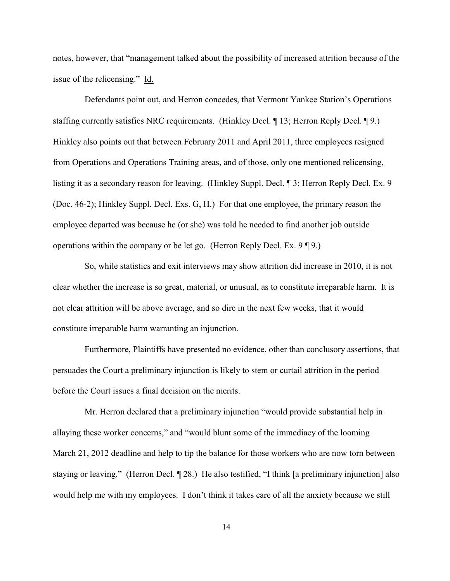notes, however, that "management talked about the possibility of increased attrition because of the issue of the relicensing." Id.

Defendants point out, and Herron concedes, that Vermont Yankee Station's Operations staffing currently satisfies NRC requirements. (Hinkley Decl. ¶ 13; Herron Reply Decl. ¶ 9.) Hinkley also points out that between February 2011 and April 2011, three employees resigned from Operations and Operations Training areas, and of those, only one mentioned relicensing, listing it as a secondary reason for leaving. (Hinkley Suppl. Decl. ¶ 3; Herron Reply Decl. Ex. 9 (Doc. 46-2); Hinkley Suppl. Decl. Exs. G, H.) For that one employee, the primary reason the employee departed was because he (or she) was told he needed to find another job outside operations within the company or be let go. (Herron Reply Decl. Ex. 9 ¶ 9.)

So, while statistics and exit interviews may show attrition did increase in 2010, it is not clear whether the increase is so great, material, or unusual, as to constitute irreparable harm. It is not clear attrition will be above average, and so dire in the next few weeks, that it would constitute irreparable harm warranting an injunction.

Furthermore, Plaintiffs have presented no evidence, other than conclusory assertions, that persuades the Court a preliminary injunction is likely to stem or curtail attrition in the period before the Court issues a final decision on the merits.

Mr. Herron declared that a preliminary injunction "would provide substantial help in allaying these worker concerns," and "would blunt some of the immediacy of the looming March 21, 2012 deadline and help to tip the balance for those workers who are now torn between staying or leaving." (Herron Decl. ¶ 28.) He also testified, "I think [a preliminary injunction] also would help me with my employees. I don't think it takes care of all the anxiety because we still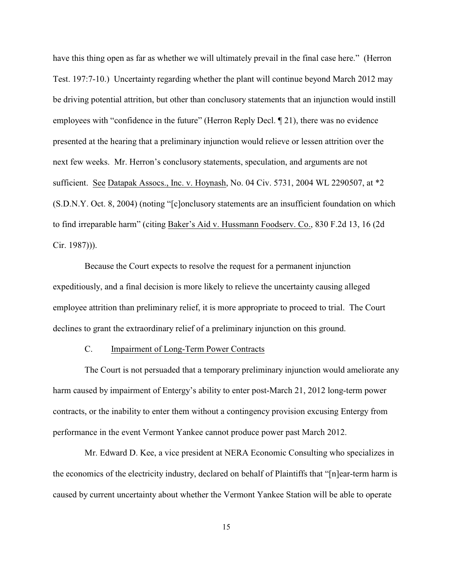have this thing open as far as whether we will ultimately prevail in the final case here." (Herron Test. 197:7-10.) Uncertainty regarding whether the plant will continue beyond March 2012 may be driving potential attrition, but other than conclusory statements that an injunction would instill employees with "confidence in the future" (Herron Reply Decl. ¶ 21), there was no evidence presented at the hearing that a preliminary injunction would relieve or lessen attrition over the next few weeks. Mr. Herron's conclusory statements, speculation, and arguments are not sufficient. See Datapak Assocs., Inc. v. Hoynash, No. 04 Civ. 5731, 2004 WL 2290507, at \*2 (S.D.N.Y. Oct. 8, 2004) (noting "[c]onclusory statements are an insufficient foundation on which to find irreparable harm" (citing Baker's Aid v. Hussmann Foodserv. Co., 830 F.2d 13, 16 (2d Cir. 1987))).

Because the Court expects to resolve the request for a permanent injunction expeditiously, and a final decision is more likely to relieve the uncertainty causing alleged employee attrition than preliminary relief, it is more appropriate to proceed to trial. The Court declines to grant the extraordinary relief of a preliminary injunction on this ground.

## C. Impairment of Long-Term Power Contracts

The Court is not persuaded that a temporary preliminary injunction would ameliorate any harm caused by impairment of Entergy's ability to enter post-March 21, 2012 long-term power contracts, or the inability to enter them without a contingency provision excusing Entergy from performance in the event Vermont Yankee cannot produce power past March 2012.

Mr. Edward D. Kee, a vice president at NERA Economic Consulting who specializes in the economics of the electricity industry, declared on behalf of Plaintiffs that "[n]ear-term harm is caused by current uncertainty about whether the Vermont Yankee Station will be able to operate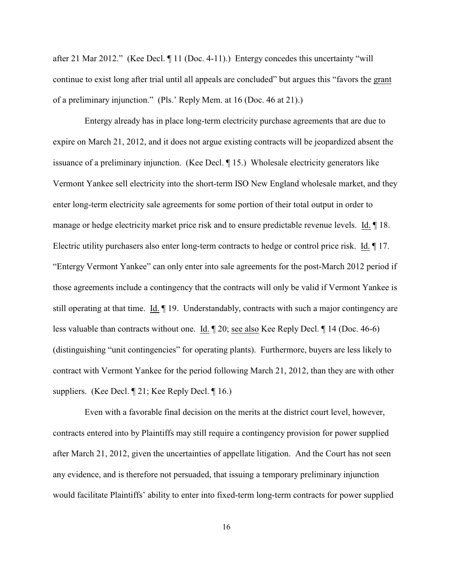after 21 Mar 2012." (Kee Decl. ¶ 11 (Doc. 4-11).) Entergy concedes this uncertainty "will continue to exist long after trial until all appeals are concluded" but argues this "favors the grant of a preliminary injunction." (Pls.' Reply Mem. at 16 (Doc. 46 at 21).)

Entergy already has in place long-term electricity purchase agreements that are due to expire on March 21, 2012, and it does not argue existing contracts will be jeopardized absent the issuance of a preliminary injunction. (Kee Decl. ¶ 15.) Wholesale electricity generators like Vermont Yankee sell electricity into the short-term ISO New England wholesale market, and they enter long-term electricity sale agreements for some portion of their total output in order to manage or hedge electricity market price risk and to ensure predictable revenue levels. Id. 18. Electric utility purchasers also enter long-term contracts to hedge or control price risk. Id. ¶ 17. "Entergy Vermont Yankee" can only enter into sale agreements for the post-March 2012 period if those agreements include a contingency that the contracts will only be valid if Vermont Yankee is still operating at that time. Id. ¶ 19. Understandably, contracts with such a major contingency are less valuable than contracts without one. Id. ¶ 20; see also Kee Reply Decl. ¶ 14 (Doc. 46-6) (distinguishing "unit contingencies" for operating plants). Furthermore, buyers are less likely to contract with Vermont Yankee for the period following March 21, 2012, than they are with other suppliers. (Kee Decl. ¶ 21; Kee Reply Decl. ¶ 16.)

Even with a favorable final decision on the merits at the district court level, however, contracts entered into by Plaintiffs may still require a contingency provision for power supplied after March 21, 2012, given the uncertainties of appellate litigation. And the Court has not seen any evidence, and is therefore not persuaded, that issuing a temporary preliminary injunction would facilitate Plaintiffs' ability to enter into fixed-term long-term contracts for power supplied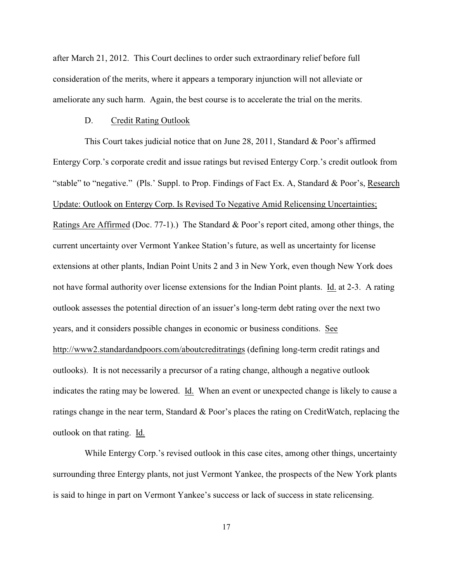after March 21, 2012. This Court declines to order such extraordinary relief before full consideration of the merits, where it appears a temporary injunction will not alleviate or ameliorate any such harm. Again, the best course is to accelerate the trial on the merits.

### D. Credit Rating Outlook

This Court takes judicial notice that on June 28, 2011, Standard & Poor's affirmed Entergy Corp.'s corporate credit and issue ratings but revised Entergy Corp.'s credit outlook from "stable" to "negative." (Pls.' Suppl. to Prop. Findings of Fact Ex. A, Standard & Poor's, Research Update: Outlook on Entergy Corp. Is Revised To Negative Amid Relicensing Uncertainties; Ratings Are Affirmed (Doc. 77-1).) The Standard & Poor's report cited, among other things, the current uncertainty over Vermont Yankee Station's future, as well as uncertainty for license extensions at other plants, Indian Point Units 2 and 3 in New York, even though New York does not have formal authority over license extensions for the Indian Point plants. Id. at 2-3. A rating outlook assesses the potential direction of an issuer's long-term debt rating over the next two years, and it considers possible changes in economic or business conditions. [See](http://www2.standardandpoors.com/aboutcreditratings/) [http://www2.standardandpoors.com/aboutcreditratings](http://www2.standardandpoors.com/aboutcreditratings/) (defining long-term credit ratings and outlooks). It is not necessarily a precursor of a rating change, although a negative outlook indicates the rating may be lowered. Id. When an event or unexpected change is likely to cause a ratings change in the near term, Standard & Poor's places the rating on CreditWatch, replacing the outlook on that rating. Id.

While Entergy Corp.'s revised outlook in this case cites, among other things, uncertainty surrounding three Entergy plants, not just Vermont Yankee, the prospects of the New York plants is said to hinge in part on Vermont Yankee's success or lack of success in state relicensing.